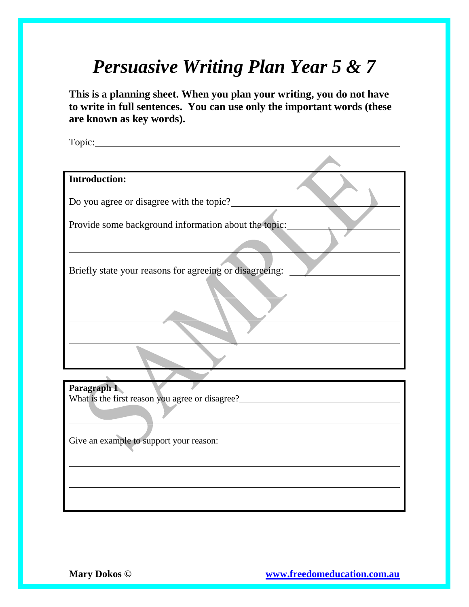## *Persuasive Writing Plan Year 5 & 7*

**This is a planning sheet. When you plan your writing, you do not have to write in full sentences. You can use only the important words (these are known as key words).**

| Topic:                                                                                                                                                                                                                                               |
|------------------------------------------------------------------------------------------------------------------------------------------------------------------------------------------------------------------------------------------------------|
|                                                                                                                                                                                                                                                      |
| <b>Introduction:</b>                                                                                                                                                                                                                                 |
| Do you agree or disagree with the topic?                                                                                                                                                                                                             |
| Provide some background information about the topic:                                                                                                                                                                                                 |
| Briefly state your reasons for agreeing or disagreeing:                                                                                                                                                                                              |
|                                                                                                                                                                                                                                                      |
|                                                                                                                                                                                                                                                      |
|                                                                                                                                                                                                                                                      |
|                                                                                                                                                                                                                                                      |
| Paragraph 1<br>What is the first reason you agree or disagree?<br><u>Letting</u> the state of the state of the state of the state of the state of the state of the state of the state of the state of the state of the state of the state of the sta |
|                                                                                                                                                                                                                                                      |
|                                                                                                                                                                                                                                                      |
|                                                                                                                                                                                                                                                      |
|                                                                                                                                                                                                                                                      |
|                                                                                                                                                                                                                                                      |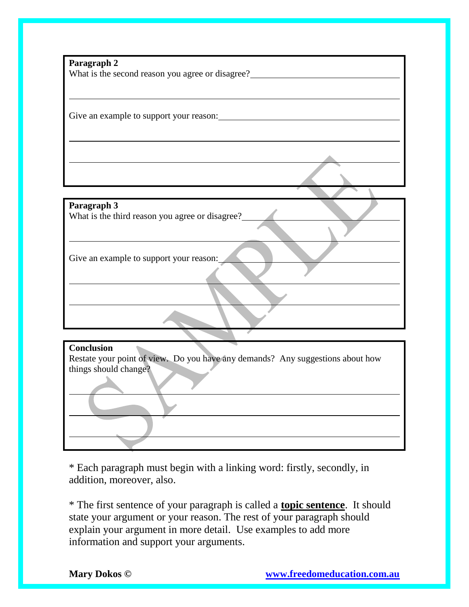**Paragraph 2** What is the second reason you agree or disagree?

Give an example to support your reason:

**Paragraph 3** What is the third reason you agree or disagree?

Give an example to support your reason:

\* Each paragraph must begin with a linking word: firstly, secondly, in addition, moreover, also.

Restate your point of view. Do you have any demands? Any suggestions about how

\* The first sentence of your paragraph is called a **topic sentence**. It should state your argument or your reason. The rest of your paragraph should explain your argument in more detail. Use examples to add more information and support your arguments.

**Conclusion**

things should change?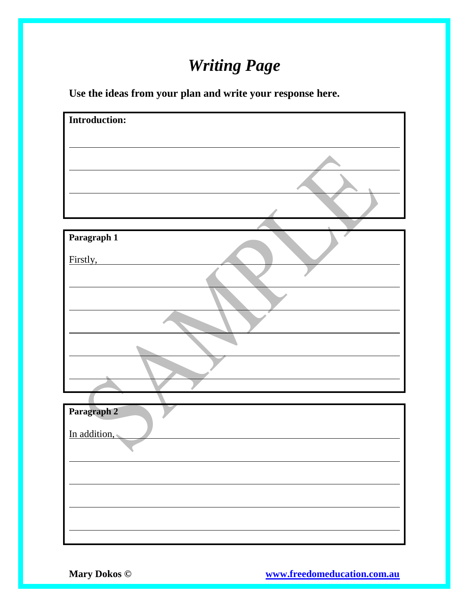## *Writing Page*

**Use the ideas from your plan and write your response here.**

| <b>Introduction:</b> |
|----------------------|
|                      |
|                      |
|                      |
|                      |
|                      |
|                      |
|                      |
|                      |
| Paragraph 1          |
|                      |
| Firstly,             |
|                      |
|                      |
|                      |
|                      |
|                      |
|                      |
|                      |
|                      |
| Paragraph 2          |
|                      |
| In addition,         |
|                      |
|                      |
|                      |
|                      |
|                      |
|                      |
|                      |